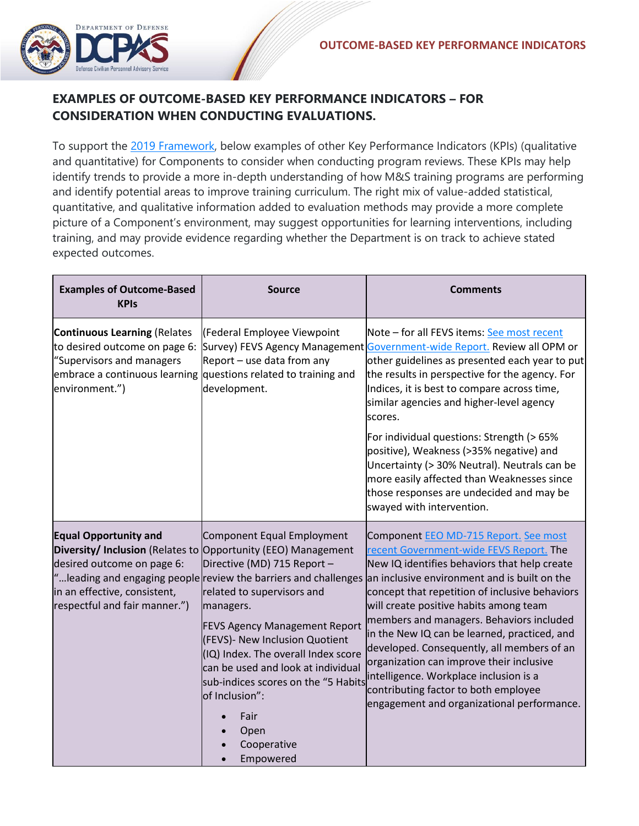

## **EXAMPLES OF OUTCOME-BASED KEY PERFORMANCE INDICATORS – FOR CONSIDERATION WHEN CONDUCTING EVALUATIONS.**

To support the [2019 Framework,](https://www.dcpas.osd.mil/CTD/Managerial) below examples of other Key Performance Indicators (KPIs) (qualitative and quantitative) for Components to consider when conducting program reviews. These KPIs may help identify trends to provide a more in-depth understanding of how M&S training programs are performing and identify potential areas to improve training curriculum. The right mix of value-added statistical, quantitative, and qualitative information added to evaluation methods may provide a more complete picture of a Component's environment, may suggest opportunities for learning interventions, including training, and may provide evidence regarding whether the Department is on track to achieve stated expected outcomes.

| <b>Examples of Outcome-Based</b><br><b>KPIs</b>                                                                             | <b>Source</b>                                                                                                                                                                                                                                                                                                                                                                                                                                                 | <b>Comments</b>                                                                                                                                                                                                                                                                                                                                                                                                                                                                                                                                                                                                                        |
|-----------------------------------------------------------------------------------------------------------------------------|---------------------------------------------------------------------------------------------------------------------------------------------------------------------------------------------------------------------------------------------------------------------------------------------------------------------------------------------------------------------------------------------------------------------------------------------------------------|----------------------------------------------------------------------------------------------------------------------------------------------------------------------------------------------------------------------------------------------------------------------------------------------------------------------------------------------------------------------------------------------------------------------------------------------------------------------------------------------------------------------------------------------------------------------------------------------------------------------------------------|
| <b>Continuous Learning (Relates</b><br>to desired outcome on page 6:<br>"Supervisors and managers<br>environment.")         | (Federal Employee Viewpoint<br>Report - use data from any<br>embrace a continuous learning questions related to training and<br>development.                                                                                                                                                                                                                                                                                                                  | Note - for all FEVS items: See most recent<br>Survey) FEVS Agency Management Government-wide Report. Review all OPM or<br>other guidelines as presented each year to put<br>the results in perspective for the agency. For<br>Indices, it is best to compare across time,<br>similar agencies and higher-level agency<br>scores.                                                                                                                                                                                                                                                                                                       |
|                                                                                                                             |                                                                                                                                                                                                                                                                                                                                                                                                                                                               | For individual questions: Strength (> 65%<br>positive), Weakness (>35% negative) and<br>Uncertainty (> 30% Neutral). Neutrals can be<br>more easily affected than Weaknesses since<br>those responses are undecided and may be<br>swayed with intervention.                                                                                                                                                                                                                                                                                                                                                                            |
| <b>Equal Opportunity and</b><br>desired outcome on page 6:<br>in an effective, consistent,<br>respectful and fair manner.") | Component Equal Employment<br>Diversity/ Inclusion (Relates to Opportunity (EEO) Management<br>Directive (MD) 715 Report -<br>"leading and engaging people review the barriers and challenges<br>related to supervisors and<br>managers.<br><b>FEVS Agency Management Report</b><br>(FEVS)- New Inclusion Quotient<br>(IQ) Index. The overall Index score<br>can be used and look at individual<br>of Inclusion":<br>Fair<br>Open<br>Cooperative<br>Empowered | Component EEO MD-715 Report. See most<br>recent Government-wide FEVS Report. The<br>New IQ identifies behaviors that help create<br>an inclusive environment and is built on the<br>concept that repetition of inclusive behaviors<br>will create positive habits among team<br>members and managers. Behaviors included<br>in the New IQ can be learned, practiced, and<br>developed. Consequently, all members of an<br>organization can improve their inclusive<br>sub-indices scores on the "5 Habits intelligence. Workplace inclusion is a<br>contributing factor to both employee<br>engagement and organizational performance. |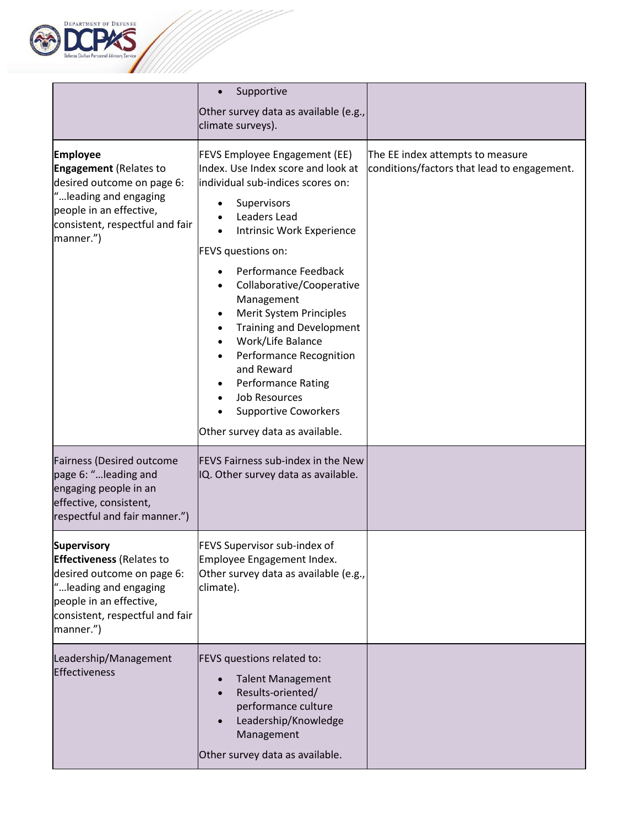

|                                                                                                                                                                                     | Supportive<br>Other survey data as available (e.g.,<br>climate surveys).                                                                                                                                                                                                                                                                                                                                                                                                                                         |                                                                                 |
|-------------------------------------------------------------------------------------------------------------------------------------------------------------------------------------|------------------------------------------------------------------------------------------------------------------------------------------------------------------------------------------------------------------------------------------------------------------------------------------------------------------------------------------------------------------------------------------------------------------------------------------------------------------------------------------------------------------|---------------------------------------------------------------------------------|
| <b>Employee</b><br><b>Engagement</b> (Relates to<br>desired outcome on page 6:<br>" leading and engaging<br>people in an effective,<br>consistent, respectful and fair<br>manner.") | FEVS Employee Engagement (EE)<br>Index. Use Index score and look at<br>individual sub-indices scores on:<br>Supervisors<br>Leaders Lead<br>Intrinsic Work Experience<br>FEVS questions on:<br>Performance Feedback<br>Collaborative/Cooperative<br>Management<br>Merit System Principles<br><b>Training and Development</b><br>Work/Life Balance<br>Performance Recognition<br>and Reward<br><b>Performance Rating</b><br><b>Job Resources</b><br><b>Supportive Coworkers</b><br>Other survey data as available. | The EE index attempts to measure<br>conditions/factors that lead to engagement. |
| <b>Fairness (Desired outcome</b><br>page 6: "leading and<br>engaging people in an<br>effective, consistent,<br>respectful and fair manner.")                                        | FEVS Fairness sub-index in the New<br>IQ. Other survey data as available.                                                                                                                                                                                                                                                                                                                                                                                                                                        |                                                                                 |
| Supervisory<br><b>Effectiveness</b> (Relates to<br>desired outcome on page 6:<br>"leading and engaging<br>people in an effective,<br>consistent, respectful and fair<br>manner.")   | FEVS Supervisor sub-index of<br>Employee Engagement Index.<br>Other survey data as available (e.g.,<br>climate).                                                                                                                                                                                                                                                                                                                                                                                                 |                                                                                 |
| Leadership/Management<br>Effectiveness                                                                                                                                              | FEVS questions related to:<br><b>Talent Management</b><br>Results-oriented/<br>performance culture<br>Leadership/Knowledge<br>Management<br>Other survey data as available.                                                                                                                                                                                                                                                                                                                                      |                                                                                 |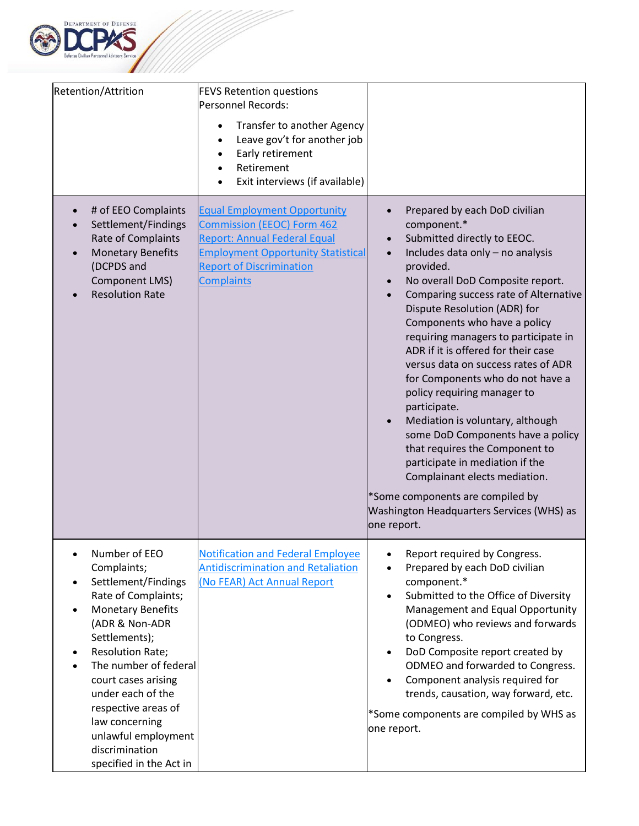

| Retention/Attrition                                                                                                                                                                                                                                                                                                                                                                                                     | <b>FEVS Retention questions</b><br>Personnel Records:<br>Transfer to another Agency<br>$\bullet$<br>Leave gov't for another job<br>$\bullet$<br>Early retirement<br>$\bullet$<br>Retirement<br>$\bullet$<br>Exit interviews (if available)<br>$\bullet$ |                                                                                                                                                                                                                                                                                                                                                                                                                                                                                                                                                                                                                                                                                                                                                                                             |
|-------------------------------------------------------------------------------------------------------------------------------------------------------------------------------------------------------------------------------------------------------------------------------------------------------------------------------------------------------------------------------------------------------------------------|---------------------------------------------------------------------------------------------------------------------------------------------------------------------------------------------------------------------------------------------------------|---------------------------------------------------------------------------------------------------------------------------------------------------------------------------------------------------------------------------------------------------------------------------------------------------------------------------------------------------------------------------------------------------------------------------------------------------------------------------------------------------------------------------------------------------------------------------------------------------------------------------------------------------------------------------------------------------------------------------------------------------------------------------------------------|
| # of EEO Complaints<br>Settlement/Findings<br>Rate of Complaints<br><b>Monetary Benefits</b><br>(DCPDS and<br><b>Component LMS)</b><br><b>Resolution Rate</b>                                                                                                                                                                                                                                                           | <b>Equal Employment Opportunity</b><br><b>Commission (EEOC) Form 462</b><br><b>Report: Annual Federal Equal</b><br><b>Employment Opportunity Statistical</b><br><b>Report of Discrimination</b><br><b>Complaints</b>                                    | Prepared by each DoD civilian<br>component.*<br>Submitted directly to EEOC.<br>Includes data only - no analysis<br>$\bullet$<br>provided.<br>No overall DoD Composite report.<br>$\bullet$<br>Comparing success rate of Alternative<br>Dispute Resolution (ADR) for<br>Components who have a policy<br>requiring managers to participate in<br>ADR if it is offered for their case<br>versus data on success rates of ADR<br>for Components who do not have a<br>policy requiring manager to<br>participate.<br>Mediation is voluntary, although<br>some DoD Components have a policy<br>that requires the Component to<br>participate in mediation if the<br>Complainant elects mediation.<br>*Some components are compiled by<br>Washington Headquarters Services (WHS) as<br>one report. |
| Number of EEO<br>$\bullet$<br>Complaints;<br>Settlement/Findings<br>$\bullet$<br>Rate of Complaints;<br><b>Monetary Benefits</b><br>$\bullet$<br>(ADR & Non-ADR<br>Settlements);<br><b>Resolution Rate;</b><br>$\bullet$<br>The number of federal<br>$\bullet$<br>court cases arising<br>under each of the<br>respective areas of<br>law concerning<br>unlawful employment<br>discrimination<br>specified in the Act in | <b>Notification and Federal Employee</b><br><b>Antidiscrimination and Retaliation</b><br>(No FEAR) Act Annual Report                                                                                                                                    | Report required by Congress.<br>Prepared by each DoD civilian<br>component.*<br>Submitted to the Office of Diversity<br>$\bullet$<br>Management and Equal Opportunity<br>(ODMEO) who reviews and forwards<br>to Congress.<br>DoD Composite report created by<br>$\bullet$<br>ODMEO and forwarded to Congress.<br>Component analysis required for<br>trends, causation, way forward, etc.<br>*Some components are compiled by WHS as<br>one report.                                                                                                                                                                                                                                                                                                                                          |